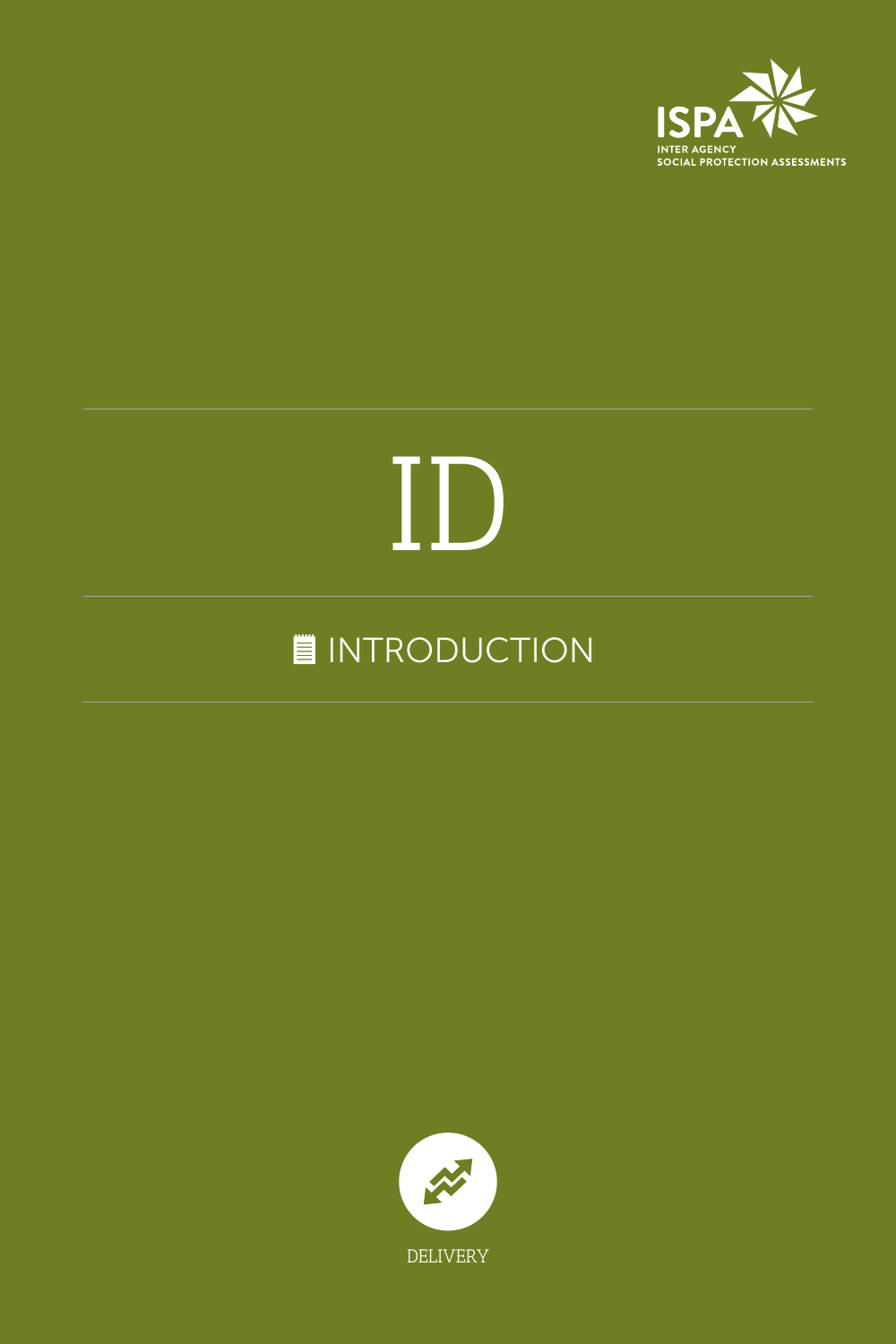

# ID

## **INTRODUCTION**

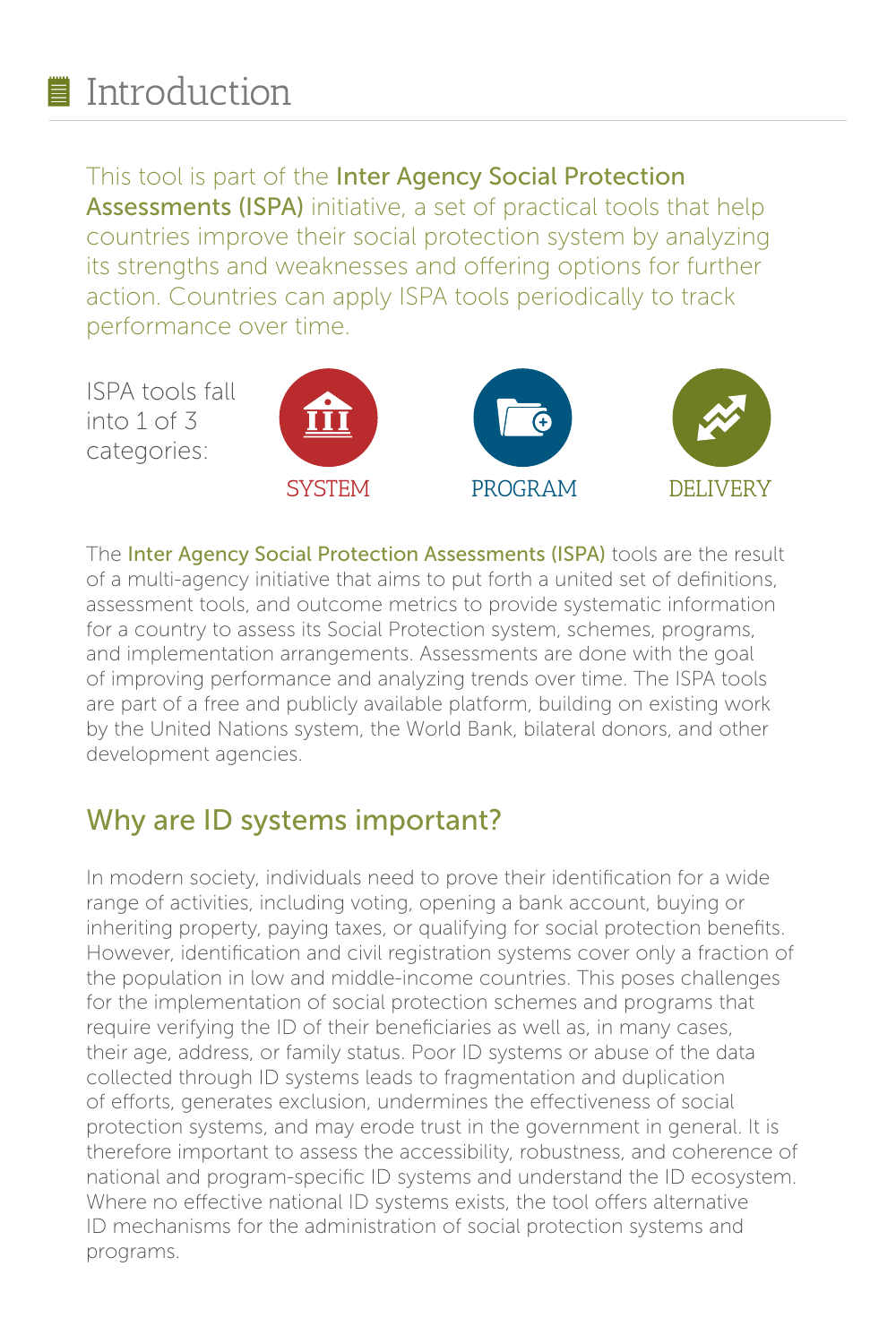## ■ Introduction

#### This tool is part of the Inter Agency Social Protection

Assessments (ISPA) initiative, a set of practical tools that help countries improve their social protection system by analyzing its strengths and weaknesses and offering options for further action. Countries can apply ISPA tools periodically to track performance over time.



The Inter Agency Social Protection Assessments (ISPA) tools are the result of a multi-agency initiative that aims to put forth a united set of definitions, assessment tools, and outcome metrics to provide systematic information for a country to assess its Social Protection system, schemes, programs, and implementation arrangements. Assessments are done with the goal of improving performance and analyzing trends over time. The ISPA tools are part of a free and publicly available platform, building on existing work by the United Nations system, the World Bank, bilateral donors, and other development agencies.

#### Why are ID systems important?

In modern society, individuals need to prove their identification for a wide range of activities, including voting, opening a bank account, buying or inheriting property, paying taxes, or qualifying for social protection benefits. However, identification and civil registration systems cover only a fraction of the population in low and middle-income countries. This poses challenges for the implementation of social protection schemes and programs that require verifying the ID of their beneficiaries as well as, in many cases, their age, address, or family status. Poor ID systems or abuse of the data collected through ID systems leads to fragmentation and duplication of efforts, generates exclusion, undermines the effectiveness of social protection systems, and may erode trust in the government in general. It is therefore important to assess the accessibility, robustness, and coherence of national and program-specific ID systems and understand the ID ecosystem. Where no effective national ID systems exists, the tool offers alternative ID mechanisms for the administration of social protection systems and programs.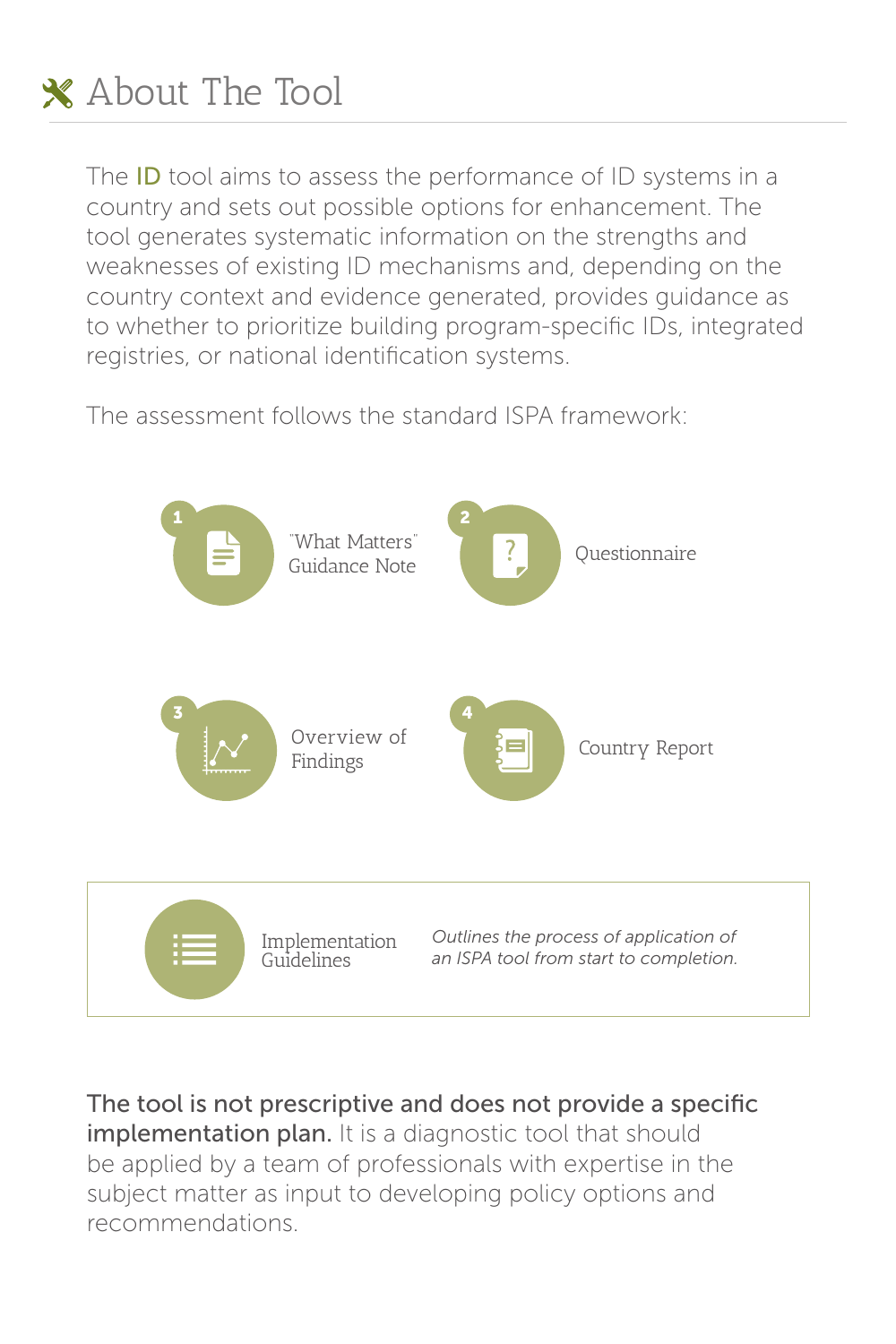

The **ID** tool aims to assess the performance of ID systems in a country and sets out possible options for enhancement. The tool generates systematic information on the strengths and weaknesses of existing ID mechanisms and, depending on the country context and evidence generated, provides guidance as to whether to prioritize building program-specific IDs, integrated registries, or national identification systems.

The assessment follows the standard ISPA framework:



The tool is not prescriptive and does not provide a specific implementation plan. It is a diagnostic tool that should be applied by a team of professionals with expertise in the subject matter as input to developing policy options and recommendations.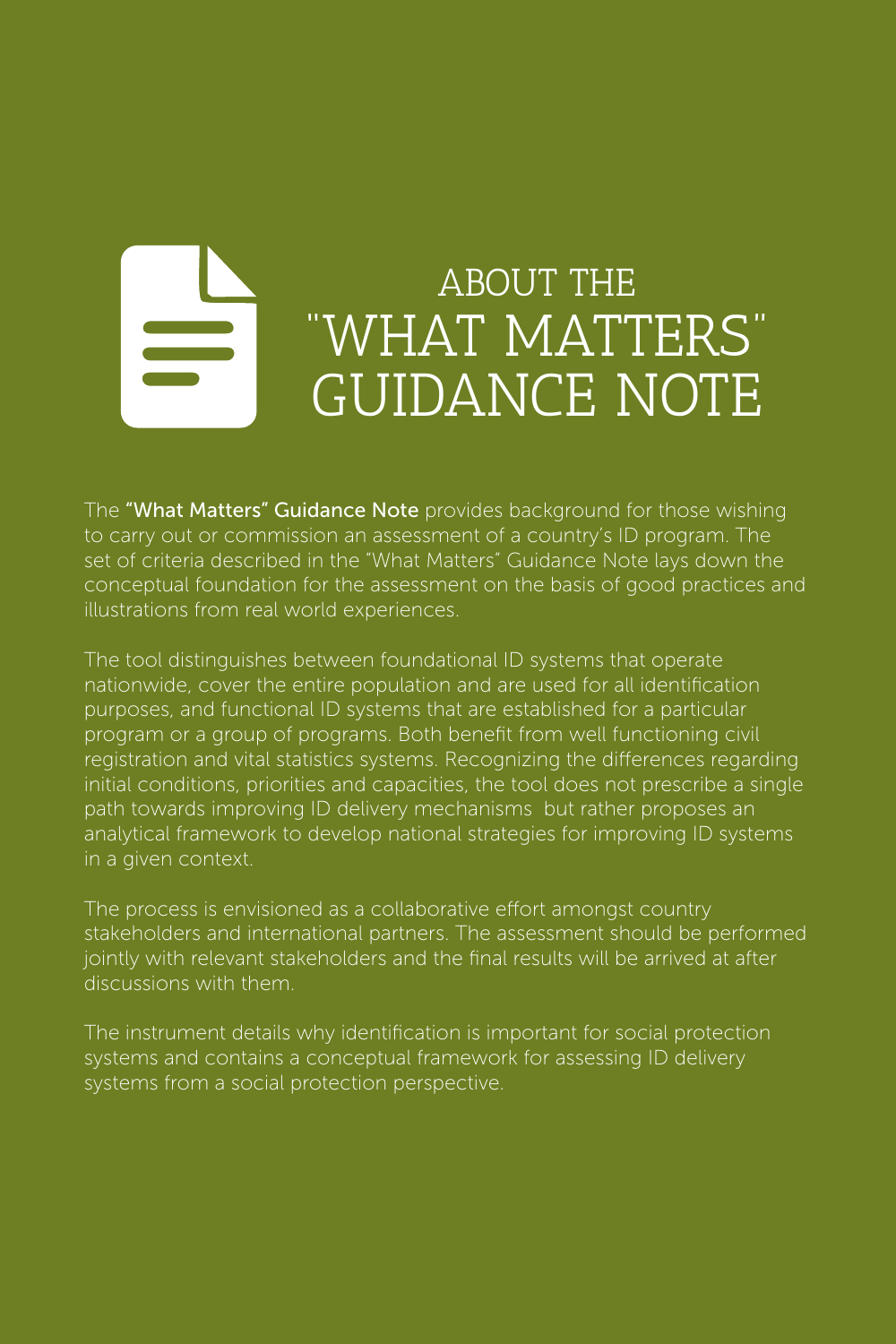## ABOUT THE "WHAT MATTERS" GUIDANCE NOTE

The "What Matters" Guidance Note provides background for those wishing to carry out or commission an assessment of a country's ID program. The set of criteria described in the "What Matters" Guidance Note lays down the conceptual foundation for the assessment on the basis of good practices and illustrations from real world experiences.

The tool distinguishes between foundational ID systems that operate nationwide, cover the entire population and are used for all identification purposes, and functional ID systems that are established for a particular program or a group of programs. Both benefit from well functioning civil registration and vital statistics systems. Recognizing the differences regarding initial conditions, priorities and capacities, the tool does not prescribe a single path towards improving ID delivery mechanisms but rather proposes an analytical framework to develop national strategies for improving ID systems in a given context.

The process is envisioned as a collaborative effort amongst country stakeholders and international partners. The assessment should be performed jointly with relevant stakeholders and the final results will be arrived at after discussions with them.

The instrument details why identification is important for social protection systems and contains a conceptual framework for assessing ID delivery systems from a social protection perspective.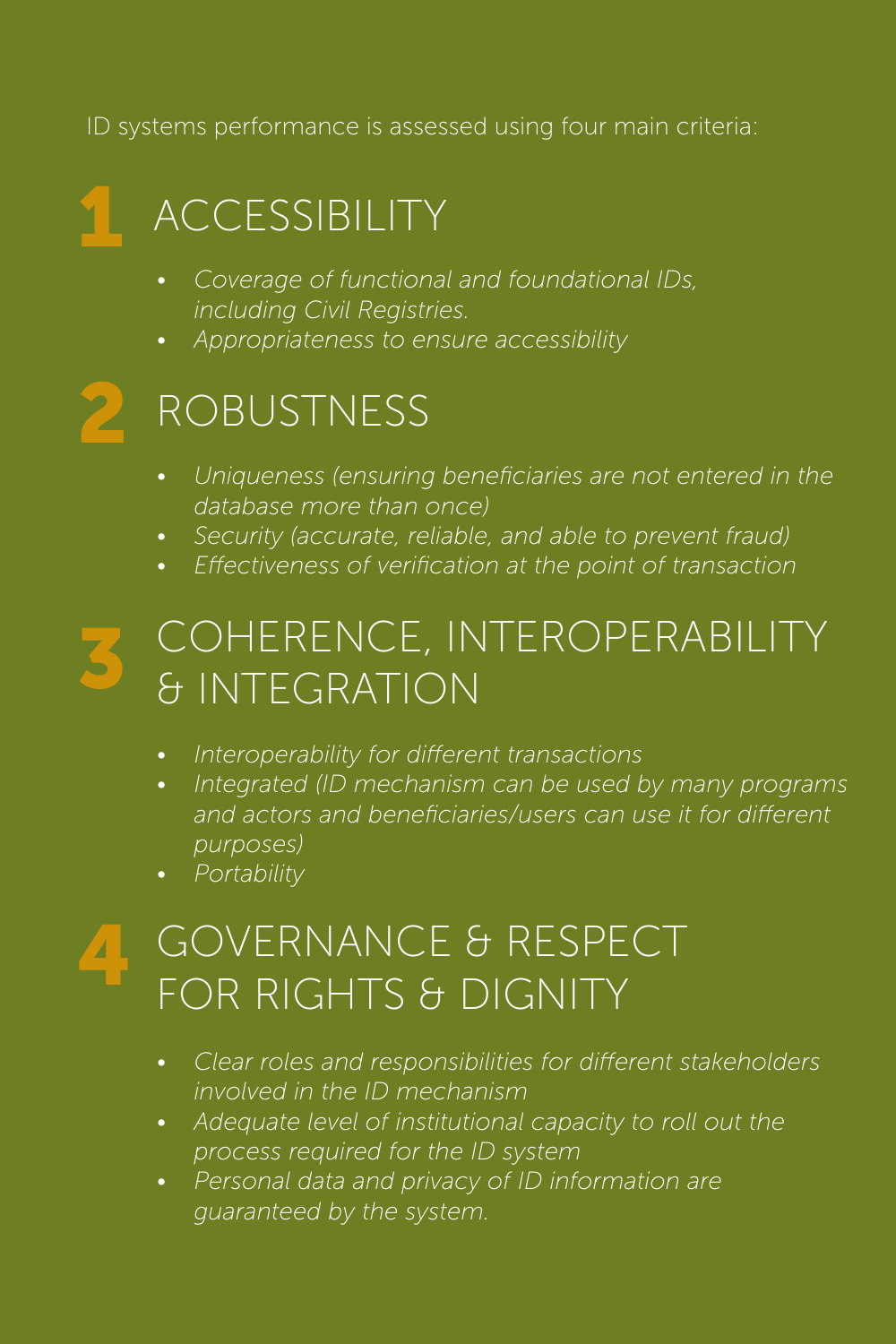ID systems performance is assessed using four main criteria:

## 1 ACCESSIBILITY

- *• Coverage of functional and foundational IDs, including Civil Registries.*
- *• Appropriateness to ensure accessibility*

## 2 ROBUSTNESS

- *• Uniqueness (ensuring beneficiaries are not entered in the database more than once)*
- *• Security (accurate, reliable, and able to prevent fraud)*
- *• Effectiveness of verification at the point of transaction*

#### 3 COHERENCE, INTEROPERABILITY & INTEGRATION

- *• Interoperability for different transactions*
- *• Integrated (ID mechanism can be used by many programs*  and actors and beneficiaries/users can use it for different *purposes)*
- *• Portability*

#### 4 GOVERNANCE & RESPECT FOR RIGHTS & DIGNITY

- *• Clear roles and responsibilities for different stakeholders involved in the ID mechanism*
- *• Adequate level of institutional capacity to roll out the process required for the ID system*
- *• Personal data and privacy of ID information are guaranteed by the system.*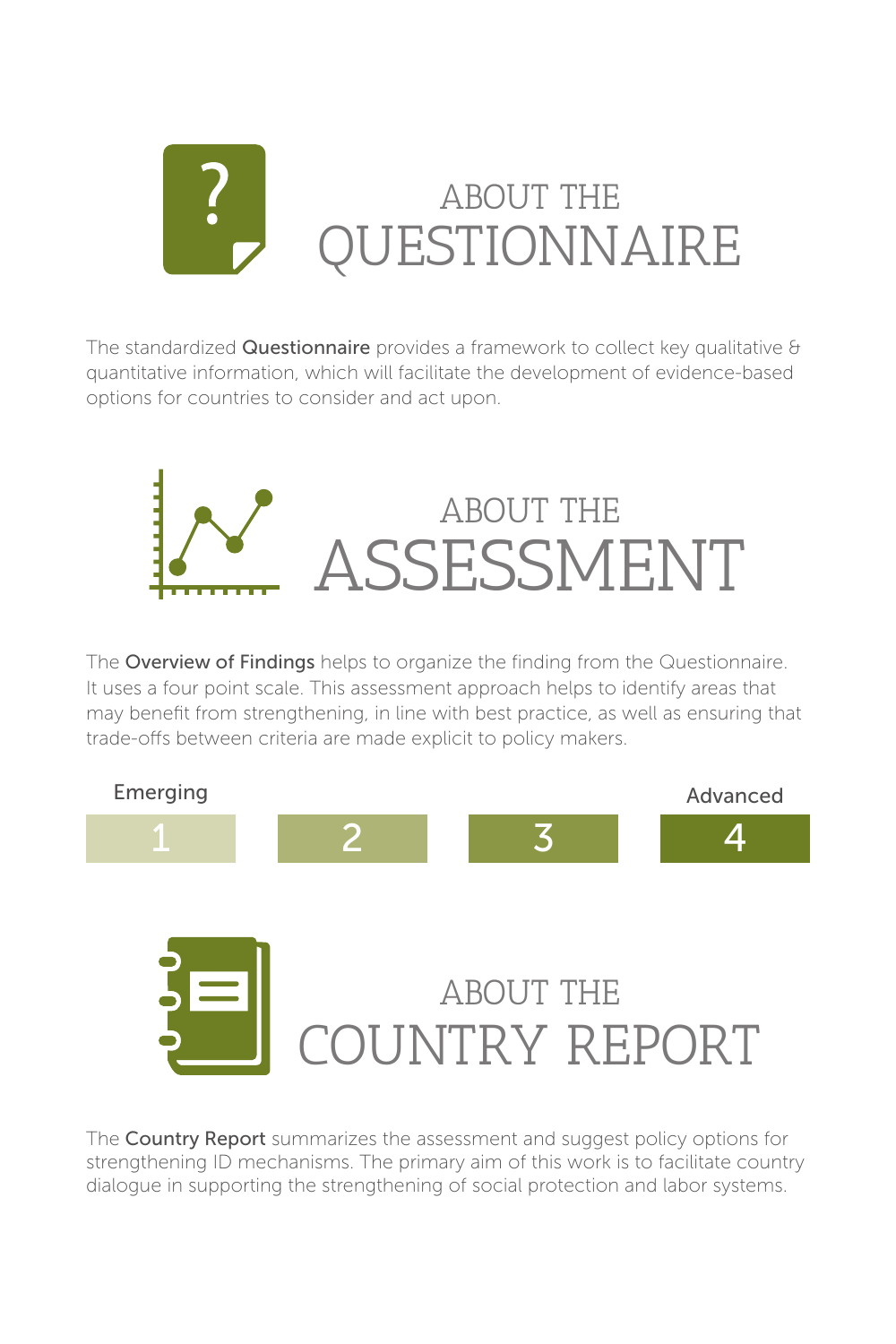

The standardized **Questionnaire** provides a framework to collect key qualitative  $\theta$ quantitative information, which will facilitate the development of evidence-based options for countries to consider and act upon.



The Overview of Findings helps to organize the finding from the Questionnaire. It uses a four point scale. This assessment approach helps to identify areas that may benefit from strengthening, in line with best practice, as well as ensuring that trade-offs between criteria are made explicit to policy makers.





The Country Report summarizes the assessment and suggest policy options for strengthening ID mechanisms. The primary aim of this work is to facilitate country dialogue in supporting the strengthening of social protection and labor systems.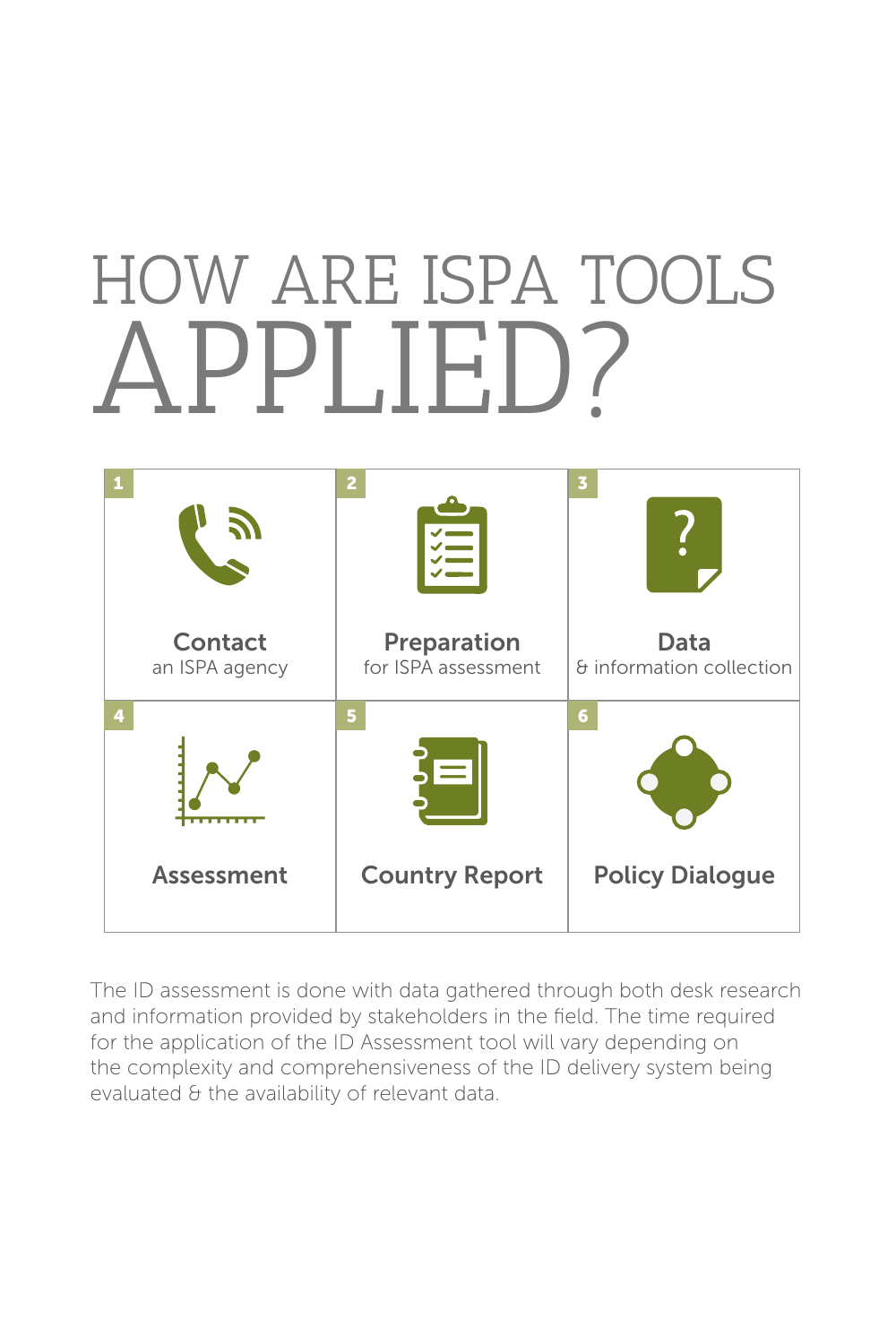## PPLIE. HOW ARE ISPA TOOLS



The ID assessment is done with data gathered through both desk research and information provided by stakeholders in the field. The time required for the application of the ID Assessment tool will vary depending on the complexity and comprehensiveness of the ID delivery system being evaluated & the availability of relevant data.